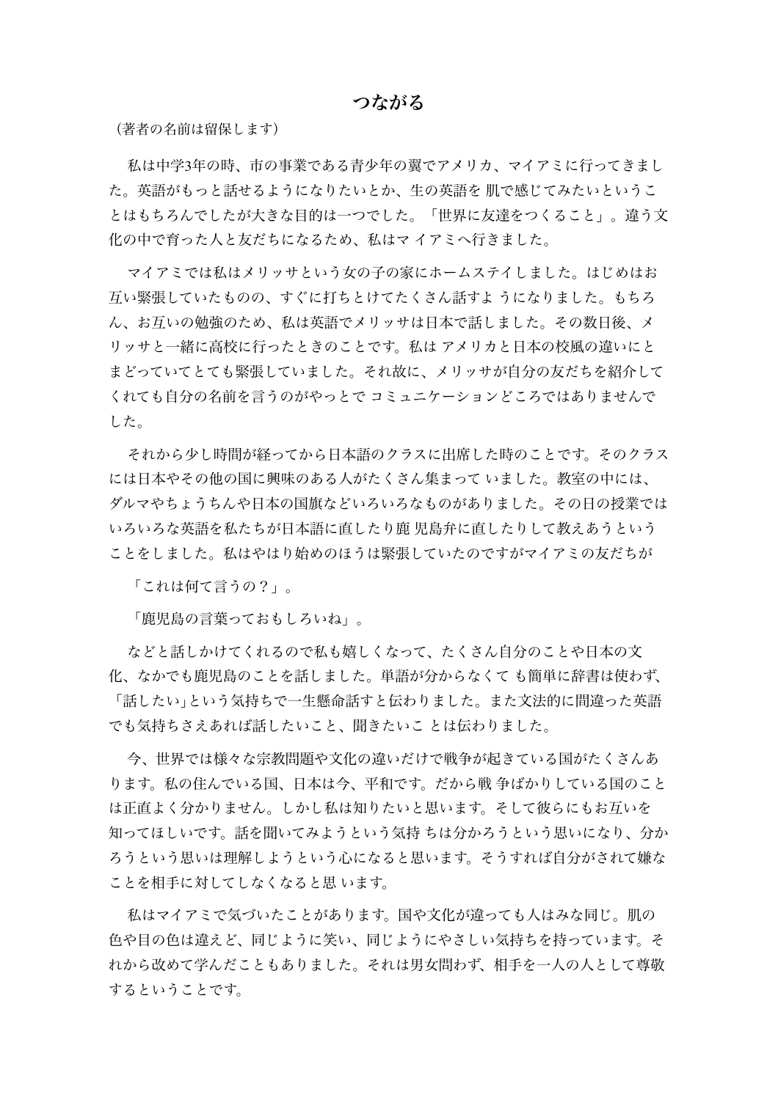## つながる

(著者の名前は留保します)

私は中学3年の時、市の事業である青少年の翼でアメリカ、マイアミに行ってきまし た。英語がもっと話せるようになりたいとか、生の英語を 肌で感じてみたいというこ とはもちろんでしたが大きな目的は一つでした。「世界に友達をつくること」。違う文 化の中で育った人と友だちになるため、私はマ イアミへ行きました。

マイアミでは私はメリッサという女の子の家にホームステイしました。はじめはお 互い緊張していたものの、すぐに打ちとけてたくさん話すよ うになりました。もちろ ん、お互いの勉強のため、私は英語でメリッサは日本で話しました。その数日後、メ リッサと一緒に高校に行ったときのことです。私は アメリカと日本の校風の違いにと まどっていてとても緊張していました。それ故に、メリッサが自分の友だちを紹介して くれても自分の名前を言うのがやっとで コミュニケーションどころではありませんで した。

それから少し時間が経ってから日本語のクラスに出席した時のことです。そのクラス には日本やその他の国に興味のある人がたくさん集まって いました。教室の中には、 ダルマやちょうちんや日本の国旗などいろいろなものがありました。その日の授業では いろいろな英語を私たちが日本語に直したり鹿 児島弁に直したりして教えあうという ことをしました。私はやはり始めのほうは緊張していたのですがマイアミの友だちが

「これは何て言うの?」。

「鹿児島の言葉っておもしろいね」。

などと話しかけてくれるので私も嬉しくなって、たくさん自分のことや日本の文 化、なかでも鹿児島のことを話しました。単語が分からなくて も簡単に辞書は使わず、 「話したい」という気持ちで一生懸命話すと伝わりました。また文法的に間違った英語 でも気持ちさえあれば話したいこと、聞きたいこ とは伝わりました。

今、世界では様々な宗教問題や文化の違いだけで戦争が起きている国がたくさんあ ります。私の住んでいる国、日本は今、平和です。だから戦 争ばかりしている国のこと は正直よく分かりません。しかし私は知りたいと思います。そして彼らにもお互いを 知ってほしいです。話を聞いてみようという気持 ちは分かろうという思いになり、分か ろうという思いは理解しようという心になると思います。そうすれば自分がされて嫌な ことを相手に対してしなくなると思 います。

私はマイアミで気づいたことがあります。国や文化が違っても人はみな同じ。肌の 色や目の色は違えど、同じように笑い、同じようにやさしい気持ちを持っています。そ れから改めて学んだこともありました。それは男女問わず、相手を一人の人として尊敬 するということです。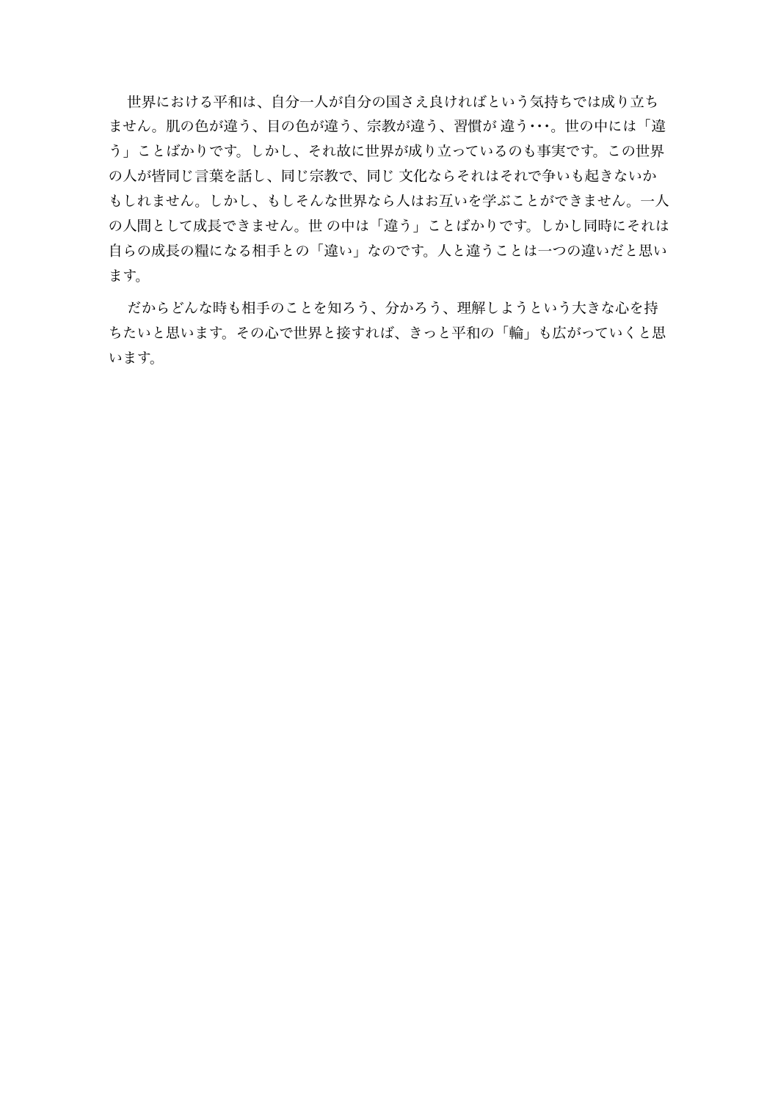世界における平和は、自分一人が自分の国さえ良ければという気持ちでは成り立ち ません。肌の色が違う、目の色が違う、宗教が違う、習慣が 違う・・・。世の中には「違 う」ことばかりです。しかし、それ故に世界が成り立っているのも事実です。この世界 の人が皆同じ言葉を話し、同じ宗教で、同じ 文化ならそれはそれで争いも起きないか もしれません。しかし、もしそんな世界なら人はお互いを学ぶことができません。一人 の人間として成長できません。世 の中は「違う」ことばかりです。しかし同時にそれは 自らの成長の糧になる相手との「違い」なのです。人と違うことは一つの違いだと思い ます。

だからどんな時も相手のことを知ろう、分かろう、理解しようという大きな心を持 ちたいと思います。その心で世界と接すれば、きっと平和の「輪」も広がっていくと思 います。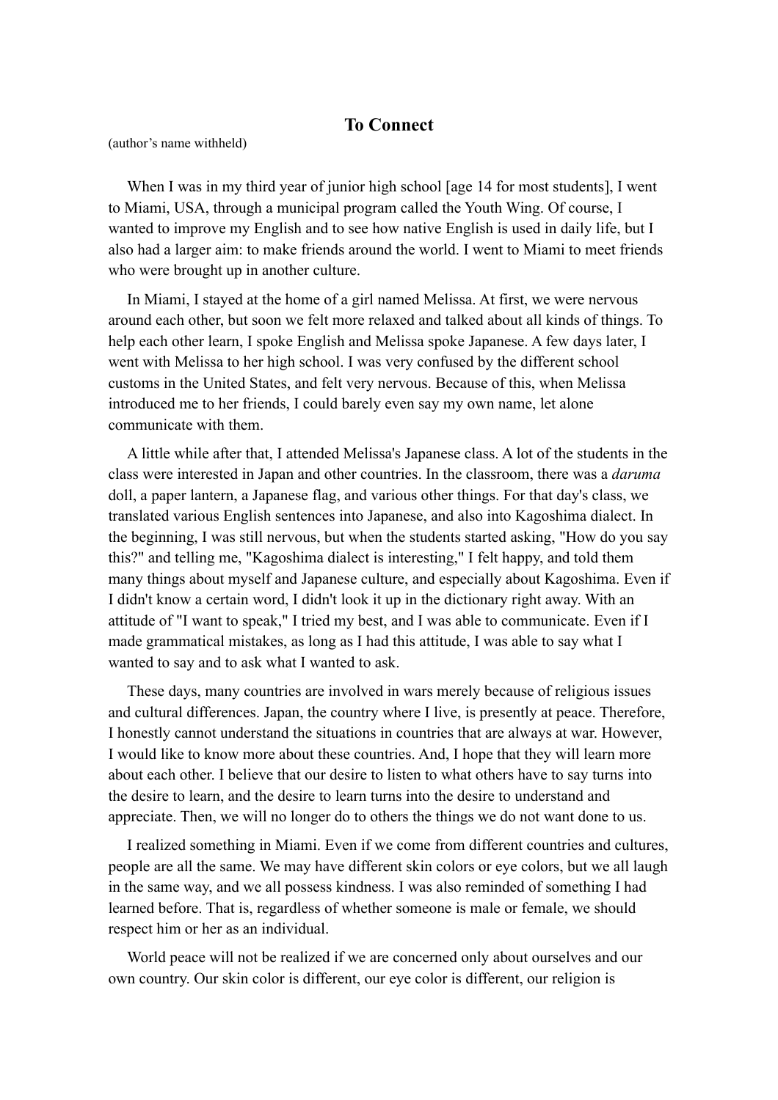## **To Connect**

(author's name withheld)

When I was in my third year of junior high school [age 14 for most students], I went to Miami, USA, through a municipal program called the Youth Wing. Of course, I wanted to improve my English and to see how native English is used in daily life, but I also had a larger aim: to make friends around the world. I went to Miami to meet friends who were brought up in another culture.

In Miami, I stayed at the home of a girl named Melissa. At first, we were nervous around each other, but soon we felt more relaxed and talked about all kinds of things. To help each other learn, I spoke English and Melissa spoke Japanese. A few days later, I went with Melissa to her high school. I was very confused by the different school customs in the United States, and felt very nervous. Because of this, when Melissa introduced me to her friends, I could barely even say my own name, let alone communicate with them.

A little while after that, I attended Melissa's Japanese class. A lot of the students in the class were interested in Japan and other countries. In the classroom, there was a *daruma* doll, a paper lantern, a Japanese flag, and various other things. For that day's class, we translated various English sentences into Japanese, and also into Kagoshima dialect. In the beginning, I was still nervous, but when the students started asking, "How do you say this?" and telling me, "Kagoshima dialect is interesting," I felt happy, and told them many things about myself and Japanese culture, and especially about Kagoshima. Even if I didn't know a certain word, I didn't look it up in the dictionary right away. With an attitude of "I want to speak," I tried my best, and I was able to communicate. Even if I made grammatical mistakes, as long as I had this attitude, I was able to say what I wanted to say and to ask what I wanted to ask.

These days, many countries are involved in wars merely because of religious issues and cultural differences. Japan, the country where I live, is presently at peace. Therefore, I honestly cannot understand the situations in countries that are always at war. However, I would like to know more about these countries. And, I hope that they will learn more about each other. I believe that our desire to listen to what others have to say turns into the desire to learn, and the desire to learn turns into the desire to understand and appreciate. Then, we will no longer do to others the things we do not want done to us.

I realized something in Miami. Even if we come from different countries and cultures, people are all the same. We may have different skin colors or eye colors, but we all laugh in the same way, and we all possess kindness. I was also reminded of something I had learned before. That is, regardless of whether someone is male or female, we should respect him or her as an individual.

World peace will not be realized if we are concerned only about ourselves and our own country. Our skin color is different, our eye color is different, our religion is